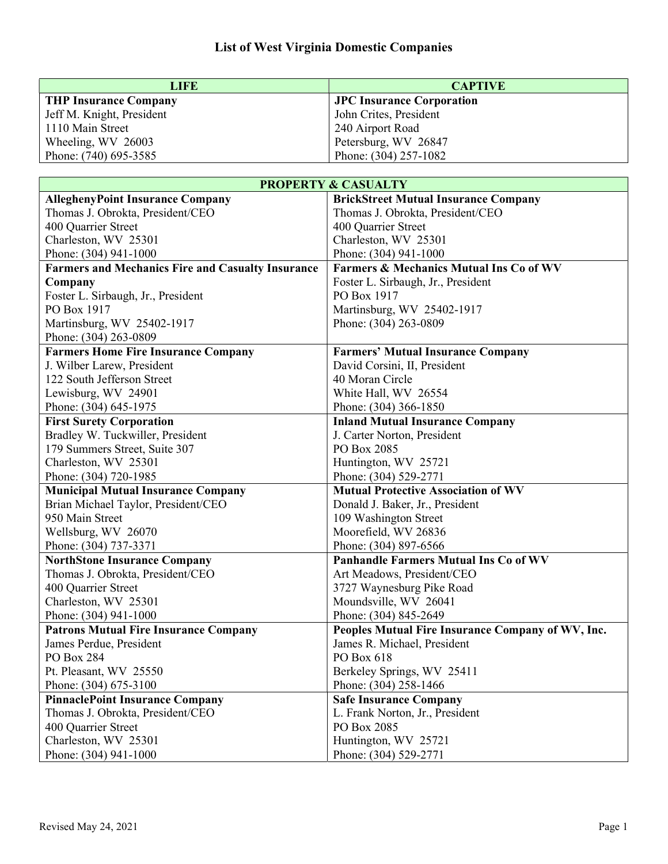| LIFE                      | <b>CAPTIVE</b>                   |
|---------------------------|----------------------------------|
| THP Insurance Company     | <b>JPC Insurance Corporation</b> |
| Jeff M. Knight, President | John Crites, President           |
| 1110 Main Street          | 240 Airport Road                 |
| Wheeling, WV 26003        | Petersburg, WV 26847             |
| Phone: (740) 695-3585     | Phone: (304) 257-1082            |

|                                                          | <b>PROPERTY &amp; CASUALTY</b>                     |
|----------------------------------------------------------|----------------------------------------------------|
| <b>AlleghenyPoint Insurance Company</b>                  | <b>BrickStreet Mutual Insurance Company</b>        |
| Thomas J. Obrokta, President/CEO                         | Thomas J. Obrokta, President/CEO                   |
| 400 Quarrier Street                                      | 400 Quarrier Street                                |
| Charleston, WV 25301                                     | Charleston, WV 25301                               |
| Phone: (304) 941-1000                                    | Phone: (304) 941-1000                              |
| <b>Farmers and Mechanics Fire and Casualty Insurance</b> | <b>Farmers &amp; Mechanics Mutual Ins Co of WV</b> |
| Company                                                  | Foster L. Sirbaugh, Jr., President                 |
| Foster L. Sirbaugh, Jr., President                       | PO Box 1917                                        |
| PO Box 1917                                              | Martinsburg, WV 25402-1917                         |
| Martinsburg, WV 25402-1917                               | Phone: (304) 263-0809                              |
| Phone: (304) 263-0809                                    |                                                    |
| <b>Farmers Home Fire Insurance Company</b>               | <b>Farmers' Mutual Insurance Company</b>           |
| J. Wilber Larew, President                               | David Corsini, II, President                       |
| 122 South Jefferson Street                               | 40 Moran Circle                                    |
| Lewisburg, WV 24901                                      | White Hall, WV 26554                               |
| Phone: (304) 645-1975                                    | Phone: (304) 366-1850                              |
| <b>First Surety Corporation</b>                          | <b>Inland Mutual Insurance Company</b>             |
| Bradley W. Tuckwiller, President                         | J. Carter Norton, President                        |
| 179 Summers Street, Suite 307                            | PO Box 2085                                        |
| Charleston, WV 25301                                     | Huntington, WV 25721                               |
| Phone: (304) 720-1985                                    | Phone: (304) 529-2771                              |
| <b>Municipal Mutual Insurance Company</b>                | <b>Mutual Protective Association of WV</b>         |
| Brian Michael Taylor, President/CEO                      | Donald J. Baker, Jr., President                    |
| 950 Main Street                                          | 109 Washington Street                              |
| Wellsburg, WV 26070                                      | Moorefield, WV 26836                               |
| Phone: (304) 737-3371                                    | Phone: (304) 897-6566                              |
| <b>NorthStone Insurance Company</b>                      | <b>Panhandle Farmers Mutual Ins Co of WV</b>       |
| Thomas J. Obrokta, President/CEO                         | Art Meadows, President/CEO                         |
| 400 Quarrier Street                                      | 3727 Waynesburg Pike Road                          |
| Charleston, WV 25301                                     | Moundsville, WV 26041                              |
| Phone: (304) 941-1000                                    | Phone: (304) 845-2649                              |
| <b>Patrons Mutual Fire Insurance Company</b>             | Peoples Mutual Fire Insurance Company of WV, Inc.  |
| James Perdue, President                                  | James R. Michael, President                        |
| PO Box 284                                               | PO Box 618                                         |
| Pt. Pleasant, WV 25550                                   | Berkeley Springs, WV 25411                         |
| Phone: (304) 675-3100                                    | Phone: (304) 258-1466                              |
| <b>PinnaclePoint Insurance Company</b>                   | <b>Safe Insurance Company</b>                      |
| Thomas J. Obrokta, President/CEO                         | L. Frank Norton, Jr., President                    |
| 400 Quarrier Street                                      | PO Box 2085                                        |
| Charleston, WV 25301                                     | Huntington, WV 25721                               |
| Phone: (304) 941-1000                                    | Phone: (304) 529-2771                              |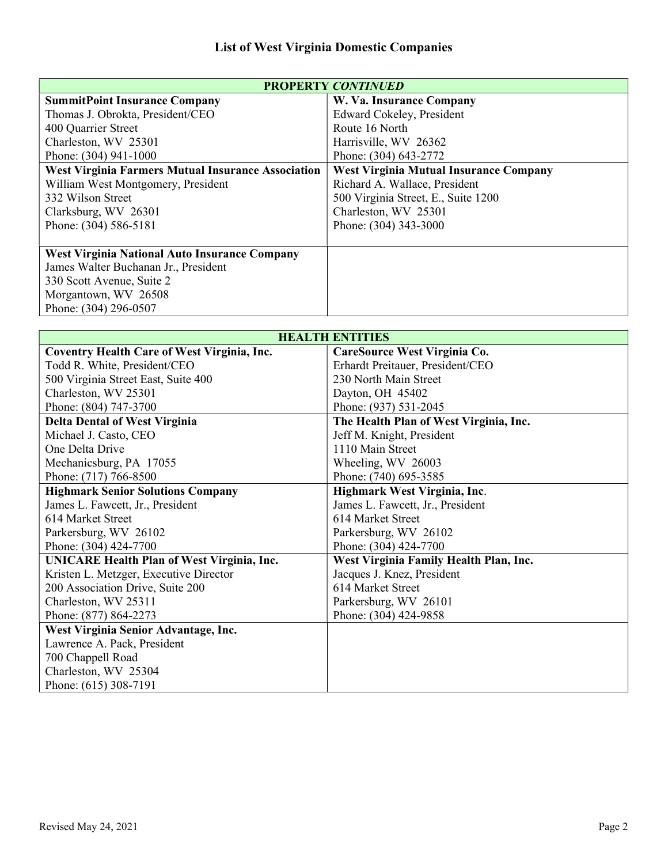| <b>PROPERTY CONTINUED</b>                                 |                                               |
|-----------------------------------------------------------|-----------------------------------------------|
| <b>SummitPoint Insurance Company</b>                      | W. Va. Insurance Company                      |
| Thomas J. Obrokta, President/CEO                          | Edward Cokeley, President                     |
| 400 Quarrier Street                                       | Route 16 North                                |
| Charleston, WV 25301                                      | Harrisville, WV 26362                         |
| Phone: (304) 941-1000                                     | Phone: (304) 643-2772                         |
| <b>West Virginia Farmers Mutual Insurance Association</b> | <b>West Virginia Mutual Insurance Company</b> |
| William West Montgomery, President                        | Richard A. Wallace, President                 |
| 332 Wilson Street                                         | 500 Virginia Street, E., Suite 1200           |
| Clarksburg, WV 26301                                      | Charleston, WV 25301                          |
| Phone: (304) 586-5181                                     | Phone: (304) 343-3000                         |
|                                                           |                                               |
| <b>West Virginia National Auto Insurance Company</b>      |                                               |
| James Walter Buchanan Jr., President                      |                                               |
| 330 Scott Avenue, Suite 2                                 |                                               |
| Morgantown, WV 26508                                      |                                               |
| Phone: (304) 296-0507                                     |                                               |

| <b>HEALTH ENTITIES</b>                             |                                        |
|----------------------------------------------------|----------------------------------------|
| <b>Coventry Health Care of West Virginia, Inc.</b> | CareSource West Virginia Co.           |
| Todd R. White, President/CEO                       | Erhardt Preitauer, President/CEO       |
| 500 Virginia Street East, Suite 400                | 230 North Main Street                  |
| Charleston, WV 25301                               | Dayton, OH 45402                       |
| Phone: (804) 747-3700                              | Phone: (937) 531-2045                  |
| <b>Delta Dental of West Virginia</b>               | The Health Plan of West Virginia, Inc. |
| Michael J. Casto, CEO                              | Jeff M. Knight, President              |
| One Delta Drive                                    | 1110 Main Street                       |
| Mechanicsburg, PA 17055                            | Wheeling, WV 26003                     |
| Phone: (717) 766-8500                              | Phone: (740) 695-3585                  |
| <b>Highmark Senior Solutions Company</b>           | Highmark West Virginia, Inc.           |
| James L. Fawcett, Jr., President                   | James L. Fawcett, Jr., President       |
| 614 Market Street                                  | 614 Market Street                      |
| Parkersburg, WV 26102                              | Parkersburg, WV 26102                  |
| Phone: (304) 424-7700                              | Phone: (304) 424-7700                  |
| <b>UNICARE Health Plan of West Virginia, Inc.</b>  | West Virginia Family Health Plan, Inc. |
| Kristen L. Metzger, Executive Director             | Jacques J. Knez, President             |
| 200 Association Drive, Suite 200                   | 614 Market Street                      |
| Charleston, WV 25311                               | Parkersburg, WV 26101                  |
| Phone: (877) 864-2273                              | Phone: (304) 424-9858                  |
| West Virginia Senior Advantage, Inc.               |                                        |
| Lawrence A. Pack, President                        |                                        |
| 700 Chappell Road                                  |                                        |
| Charleston, WV 25304                               |                                        |
| Phone: (615) 308-7191                              |                                        |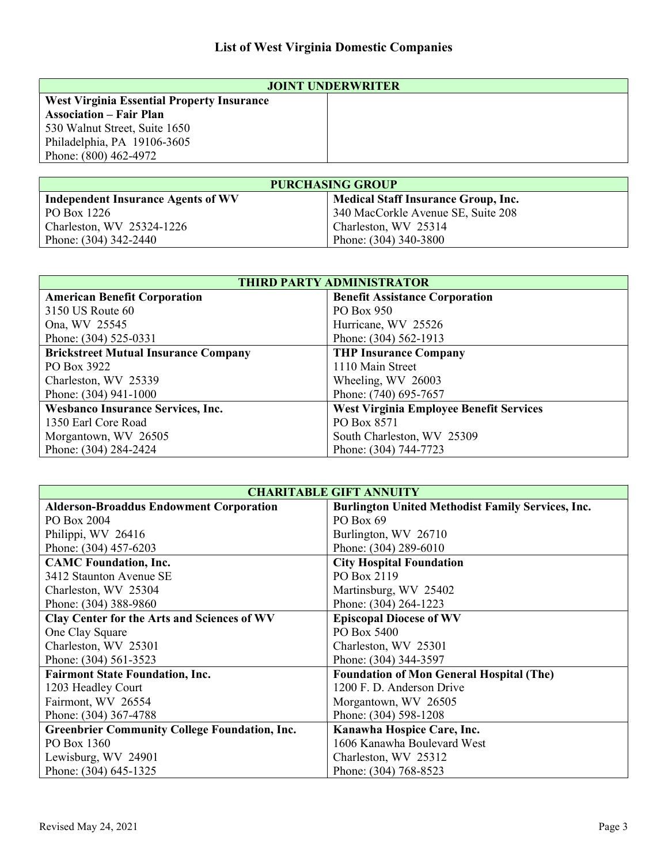| <b>JOINT UNDERWRITER</b>                          |  |
|---------------------------------------------------|--|
| <b>West Virginia Essential Property Insurance</b> |  |
| <b>Association – Fair Plan</b>                    |  |
| 530 Walnut Street, Suite 1650                     |  |
| Philadelphia, PA 19106-3605                       |  |
| Phone: (800) 462-4972                             |  |
|                                                   |  |

| <b>PURCHASING GROUP</b>                   |                                            |
|-------------------------------------------|--------------------------------------------|
| <b>Independent Insurance Agents of WV</b> | <b>Medical Staff Insurance Group, Inc.</b> |
| PO Box 1226                               | 340 MacCorkle Avenue SE, Suite 208         |
| Charleston, WV 25324-1226                 | Charleston, WV 25314                       |
| Phone: (304) 342-2440                     | Phone: (304) 340-3800                      |

| <b>THIRD PARTY ADMINISTRATOR</b>            |                                                |
|---------------------------------------------|------------------------------------------------|
| <b>American Benefit Corporation</b>         | <b>Benefit Assistance Corporation</b>          |
| 3150 US Route 60                            | PO Box 950                                     |
| Ona, WV 25545                               | Hurricane, WV 25526                            |
| Phone: (304) 525-0331                       | Phone: (304) 562-1913                          |
| <b>Brickstreet Mutual Insurance Company</b> | <b>THP Insurance Company</b>                   |
| PO Box 3922                                 | 1110 Main Street                               |
| Charleston, WV 25339                        | Wheeling, WV 26003                             |
| Phone: (304) 941-1000                       | Phone: (740) 695-7657                          |
| <b>Wesbanco Insurance Services, Inc.</b>    | <b>West Virginia Employee Benefit Services</b> |
| 1350 Earl Core Road                         | PO Box 8571                                    |
| Morgantown, WV 26505                        | South Charleston, WV 25309                     |
| Phone: (304) 284-2424                       | Phone: (304) 744-7723                          |

| <b>CHARITABLE GIFT ANNUITY</b>                       |                                                          |
|------------------------------------------------------|----------------------------------------------------------|
| <b>Alderson-Broaddus Endowment Corporation</b>       | <b>Burlington United Methodist Family Services, Inc.</b> |
| PO Box 2004                                          | PO Box 69                                                |
| Philippi, WV 26416                                   | Burlington, WV 26710                                     |
| Phone: (304) 457-6203                                | Phone: (304) 289-6010                                    |
| <b>CAMC Foundation, Inc.</b>                         | <b>City Hospital Foundation</b>                          |
| 3412 Staunton Avenue SE                              | PO Box 2119                                              |
| Charleston, WV 25304                                 | Martinsburg, WV 25402                                    |
| Phone: (304) 388-9860                                | Phone: (304) 264-1223                                    |
| <b>Clay Center for the Arts and Sciences of WV</b>   | <b>Episcopal Diocese of WV</b>                           |
| One Clay Square                                      | PO Box 5400                                              |
| Charleston, WV 25301                                 | Charleston, WV 25301                                     |
| Phone: (304) 561-3523                                | Phone: (304) 344-3597                                    |
| <b>Fairmont State Foundation, Inc.</b>               | <b>Foundation of Mon General Hospital (The)</b>          |
| 1203 Headley Court                                   | 1200 F. D. Anderson Drive                                |
| Fairmont, WV 26554                                   | Morgantown, WV 26505                                     |
| Phone: (304) 367-4788                                | Phone: (304) 598-1208                                    |
| <b>Greenbrier Community College Foundation, Inc.</b> | Kanawha Hospice Care, Inc.                               |
| PO Box 1360                                          | 1606 Kanawha Boulevard West                              |
| Lewisburg, WV 24901                                  | Charleston, WV 25312                                     |
| Phone: (304) 645-1325                                | Phone: (304) 768-8523                                    |